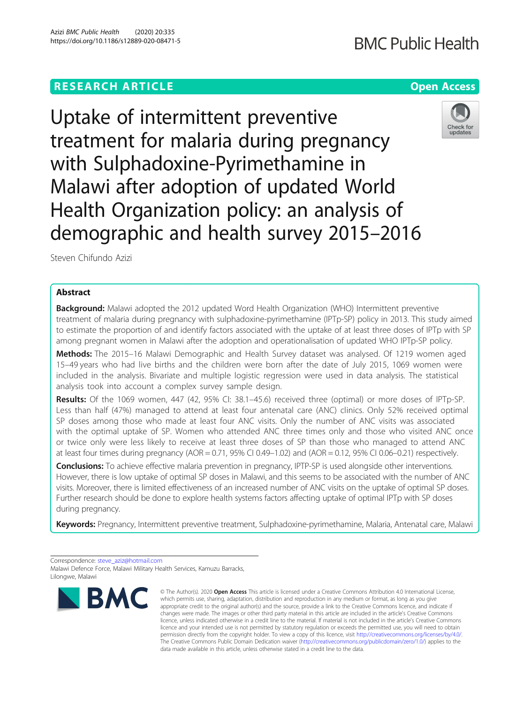# **RESEARCH ARTICLE Example 2014 12:30 The Contract of Contract ACCESS**

Check for updates

Uptake of intermittent preventive treatment for malaria during pregnancy with Sulphadoxine-Pyrimethamine in Malawi after adoption of updated World Health Organization policy: an analysis of demographic and health survey 2015–2016

Steven Chifundo Azizi

# Abstract

**Background:** Malawi adopted the 2012 updated Word Health Organization (WHO) Intermittent preventive treatment of malaria during pregnancy with sulphadoxine-pyrimethamine (IPTp-SP) policy in 2013. This study aimed to estimate the proportion of and identify factors associated with the uptake of at least three doses of IPTp with SP among pregnant women in Malawi after the adoption and operationalisation of updated WHO IPTp-SP policy.

Methods: The 2015–16 Malawi Demographic and Health Survey dataset was analysed. Of 1219 women aged 15–49 years who had live births and the children were born after the date of July 2015, 1069 women were included in the analysis. Bivariate and multiple logistic regression were used in data analysis. The statistical analysis took into account a complex survey sample design.

Results: Of the 1069 women, 447 (42, 95% CI: 38.1–45.6) received three (optimal) or more doses of IPTp-SP. Less than half (47%) managed to attend at least four antenatal care (ANC) clinics. Only 52% received optimal SP doses among those who made at least four ANC visits. Only the number of ANC visits was associated with the optimal uptake of SP. Women who attended ANC three times only and those who visited ANC once or twice only were less likely to receive at least three doses of SP than those who managed to attend ANC at least four times during pregnancy (AOR =  $0.71$ , 95% CI 0.49-1.02) and (AOR =  $0.12$ , 95% CI 0.06-0.21) respectively.

Conclusions: To achieve effective malaria prevention in pregnancy, IPTP-SP is used alongside other interventions. However, there is low uptake of optimal SP doses in Malawi, and this seems to be associated with the number of ANC visits. Moreover, there is limited effectiveness of an increased number of ANC visits on the uptake of optimal SP doses. Further research should be done to explore health systems factors affecting uptake of optimal IPTp with SP doses during pregnancy.

Keywords: Pregnancy, Intermittent preventive treatment, Sulphadoxine-pyrimethamine, Malaria, Antenatal care, Malawi

Correspondence: [steve\\_aziz@hotmail.com](mailto:steve_aziz@hotmail.com) Malawi Defence Force, Malawi Military Health Services, Kamuzu Barracks, Lilongwe, Malawi



<sup>©</sup> The Author(s), 2020 **Open Access** This article is licensed under a Creative Commons Attribution 4.0 International License, which permits use, sharing, adaptation, distribution and reproduction in any medium or format, as long as you give appropriate credit to the original author(s) and the source, provide a link to the Creative Commons licence, and indicate if changes were made. The images or other third party material in this article are included in the article's Creative Commons licence, unless indicated otherwise in a credit line to the material. If material is not included in the article's Creative Commons licence and your intended use is not permitted by statutory regulation or exceeds the permitted use, you will need to obtain permission directly from the copyright holder. To view a copy of this licence, visit [http://creativecommons.org/licenses/by/4.0/.](http://creativecommons.org/licenses/by/4.0/) The Creative Commons Public Domain Dedication waiver [\(http://creativecommons.org/publicdomain/zero/1.0/](http://creativecommons.org/publicdomain/zero/1.0/)) applies to the data made available in this article, unless otherwise stated in a credit line to the data.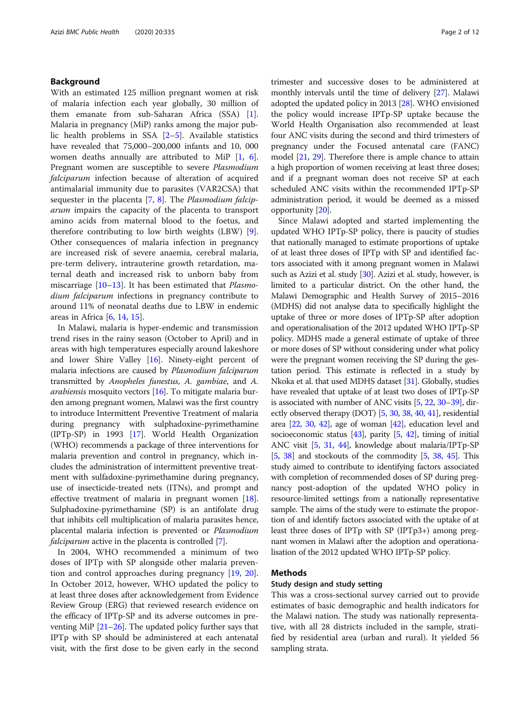# Background

With an estimated 125 million pregnant women at risk of malaria infection each year globally, 30 million of them emanate from sub-Saharan Africa (SSA) [\[1](#page-9-0)]. Malaria in pregnancy (MiP) ranks among the major public health problems in SSA [[2](#page-9-0)–[5\]](#page-9-0). Available statistics have revealed that 75,000–200,000 infants and 10, 000 women deaths annually are attributed to MiP [[1,](#page-9-0) [6](#page-9-0)]. Pregnant women are susceptible to severe Plasmodium falciparum infection because of alteration of acquired antimalarial immunity due to parasites (VAR2CSA) that sequester in the placenta  $[7, 8]$  $[7, 8]$  $[7, 8]$  $[7, 8]$ . The *Plasmodium falcip*arum impairs the capacity of the placenta to transport amino acids from maternal blood to the foetus, and therefore contributing to low birth weights (LBW) [\[9](#page-9-0)]. Other consequences of malaria infection in pregnancy are increased risk of severe anaemia, cerebral malaria, pre-term delivery, intrauterine growth retardation, maternal death and increased risk to unborn baby from miscarriage  $[10-13]$  $[10-13]$  $[10-13]$ . It has been estimated that *Plasmo*dium falciparum infections in pregnancy contribute to around 11% of neonatal deaths due to LBW in endemic areas in Africa [\[6](#page-9-0), [14,](#page-9-0) [15\]](#page-9-0).

In Malawi, malaria is hyper-endemic and transmission trend rises in the rainy season (October to April) and in areas with high temperatures especially around lakeshore and lower Shire Valley [\[16\]](#page-10-0). Ninety-eight percent of malaria infections are caused by Plasmodium falciparum transmitted by Anopheles funestus, A. gambiae, and A. *arabiensis* mosquito vectors  $[16]$ . To mitigate malaria burden among pregnant women, Malawi was the first country to introduce Intermittent Preventive Treatment of malaria during pregnancy with sulphadoxine-pyrimethamine (IPTp-SP) in 1993 [[17](#page-10-0)]. World Health Organization (WHO) recommends a package of three interventions for malaria prevention and control in pregnancy, which includes the administration of intermittent preventive treatment with sulfadoxine-pyrimethamine during pregnancy, use of insecticide-treated nets (ITNs), and prompt and effective treatment of malaria in pregnant women [[18](#page-10-0)]. Sulphadoxine-pyrimethamine (SP) is an antifolate drug that inhibits cell multiplication of malaria parasites hence, placental malaria infection is prevented or Plasmodium falciparum active in the placenta is controlled [\[7](#page-9-0)].

In 2004, WHO recommended a minimum of two doses of IPTp with SP alongside other malaria prevention and control approaches during pregnancy [\[19](#page-10-0), [20](#page-10-0)]. In October 2012, however, WHO updated the policy to at least three doses after acknowledgement from Evidence Review Group (ERG) that reviewed research evidence on the efficacy of IPTp-SP and its adverse outcomes in preventing MiP  $[21–26]$  $[21–26]$  $[21–26]$  $[21–26]$ . The updated policy further says that IPTp with SP should be administered at each antenatal visit, with the first dose to be given early in the second

trimester and successive doses to be administered at monthly intervals until the time of delivery [\[27](#page-10-0)]. Malawi adopted the updated policy in 2013 [\[28\]](#page-10-0). WHO envisioned the policy would increase IPTp-SP uptake because the World Health Organisation also recommended at least four ANC visits during the second and third trimesters of pregnancy under the Focused antenatal care (FANC) model [\[21,](#page-10-0) [29\]](#page-10-0). Therefore there is ample chance to attain a high proportion of women receiving at least three doses; and if a pregnant woman does not receive SP at each scheduled ANC visits within the recommended IPTp-SP administration period, it would be deemed as a missed opportunity [[20](#page-10-0)].

Since Malawi adopted and started implementing the updated WHO IPTp-SP policy, there is paucity of studies that nationally managed to estimate proportions of uptake of at least three doses of IPTp with SP and identified factors associated with it among pregnant women in Malawi such as Azizi et al. study [\[30\]](#page-10-0). Azizi et al. study, however, is limited to a particular district. On the other hand, the Malawi Demographic and Health Survey of 2015–2016 (MDHS) did not analyse data to specifically highlight the uptake of three or more doses of IPTp-SP after adoption and operationalisation of the 2012 updated WHO IPTp-SP policy. MDHS made a general estimate of uptake of three or more doses of SP without considering under what policy were the pregnant women receiving the SP during the gestation period. This estimate is reflected in a study by Nkoka et al. that used MDHS dataset [\[31](#page-10-0)]. Globally, studies have revealed that uptake of at least two doses of IPTp-SP is associated with number of ANC visits [\[5,](#page-9-0) [22,](#page-10-0) [30](#page-10-0)–[39](#page-10-0)], directly observed therapy (DOT) [\[5](#page-9-0), [30](#page-10-0), [38,](#page-10-0) [40,](#page-10-0) [41](#page-10-0)], residential area [\[22](#page-10-0), [30,](#page-10-0) [42](#page-10-0)], age of woman [\[42\]](#page-10-0), education level and socioeconomic status  $[43]$ , parity  $[5, 42]$  $[5, 42]$  $[5, 42]$ , timing of initial ANC visit [\[5,](#page-9-0) [31,](#page-10-0) [44\]](#page-10-0), knowledge about malaria/IPTp-SP [[5](#page-9-0), [38](#page-10-0)] and stockouts of the commodity [[5,](#page-9-0) [38](#page-10-0), [45\]](#page-10-0). This study aimed to contribute to identifying factors associated with completion of recommended doses of SP during pregnancy post-adoption of the updated WHO policy in resource-limited settings from a nationally representative sample. The aims of the study were to estimate the proportion of and identify factors associated with the uptake of at least three doses of IPTp with SP (IPTp3+) among pregnant women in Malawi after the adoption and operationalisation of the 2012 updated WHO IPTp-SP policy.

# Methods

# Study design and study setting

This was a cross-sectional survey carried out to provide estimates of basic demographic and health indicators for the Malawi nation. The study was nationally representative, with all 28 districts included in the sample, stratified by residential area (urban and rural). It yielded 56 sampling strata.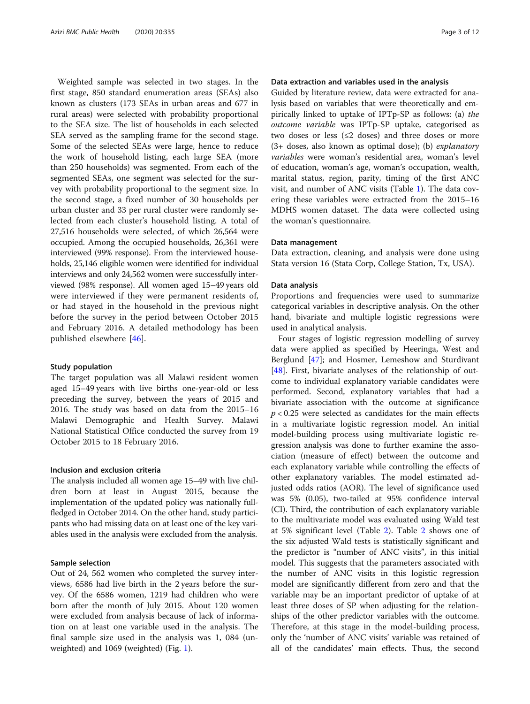Weighted sample was selected in two stages. In the first stage, 850 standard enumeration areas (SEAs) also known as clusters (173 SEAs in urban areas and 677 in rural areas) were selected with probability proportional to the SEA size. The list of households in each selected SEA served as the sampling frame for the second stage. Some of the selected SEAs were large, hence to reduce the work of household listing, each large SEA (more than 250 households) was segmented. From each of the segmented SEAs, one segment was selected for the survey with probability proportional to the segment size. In the second stage, a fixed number of 30 households per urban cluster and 33 per rural cluster were randomly selected from each cluster's household listing. A total of 27,516 households were selected, of which 26,564 were occupied. Among the occupied households, 26,361 were interviewed (99% response). From the interviewed households, 25,146 eligible women were identified for individual interviews and only 24,562 women were successfully interviewed (98% response). All women aged 15–49 years old were interviewed if they were permanent residents of, or had stayed in the household in the previous night before the survey in the period between October 2015 and February 2016. A detailed methodology has been published elsewhere [[46\]](#page-10-0).

#### Study population

The target population was all Malawi resident women aged 15–49 years with live births one-year-old or less preceding the survey, between the years of 2015 and 2016. The study was based on data from the 2015–16 Malawi Demographic and Health Survey. Malawi National Statistical Office conducted the survey from 19 October 2015 to 18 February 2016.

# Inclusion and exclusion criteria

The analysis included all women age 15–49 with live children born at least in August 2015, because the implementation of the updated policy was nationally fullfledged in October 2014. On the other hand, study participants who had missing data on at least one of the key variables used in the analysis were excluded from the analysis.

#### Sample selection

Out of 24, 562 women who completed the survey interviews, 6586 had live birth in the 2 years before the survey. Of the 6586 women, 1219 had children who were born after the month of July 2015. About 120 women were excluded from analysis because of lack of information on at least one variable used in the analysis. The final sample size used in the analysis was 1, 084 (unweighted) and 1069 (weighted) (Fig. [1](#page-3-0)).

# Data extraction and variables used in the analysis

Guided by literature review, data were extracted for analysis based on variables that were theoretically and empirically linked to uptake of IPTp-SP as follows: (a) the outcome variable was IPTp-SP uptake, categorised as two doses or less  $(\leq 2$  doses) and three doses or more  $(3+$  doses, also known as optimal dose); (b) *explanatory* variables were woman's residential area, woman's level of education, woman's age, woman's occupation, wealth, marital status, region, parity, timing of the first ANC visit, and number of ANC visits (Table [1\)](#page-4-0). The data covering these variables were extracted from the 2015–16 MDHS women dataset. The data were collected using the woman's questionnaire.

## Data management

Data extraction, cleaning, and analysis were done using Stata version 16 (Stata Corp, College Station, Tx, USA).

#### Data analysis

Proportions and frequencies were used to summarize categorical variables in descriptive analysis. On the other hand, bivariate and multiple logistic regressions were used in analytical analysis.

Four stages of logistic regression modelling of survey data were applied as specified by Heeringa, West and Berglund [[47](#page-10-0)]; and Hosmer, Lemeshow and Sturdivant [[48\]](#page-10-0). First, bivariate analyses of the relationship of outcome to individual explanatory variable candidates were performed. Second, explanatory variables that had a bivariate association with the outcome at significance  $p < 0.25$  were selected as candidates for the main effects in a multivariate logistic regression model. An initial model-building process using multivariate logistic regression analysis was done to further examine the association (measure of effect) between the outcome and each explanatory variable while controlling the effects of other explanatory variables. The model estimated adjusted odds ratios (AOR). The level of significance used was 5% (0.05), two-tailed at 95% confidence interval (CI). Third, the contribution of each explanatory variable to the multivariate model was evaluated using Wald test at 5% significant level (Table [2](#page-4-0)). Table [2](#page-4-0) shows one of the six adjusted Wald tests is statistically significant and the predictor is "number of ANC visits", in this initial model. This suggests that the parameters associated with the number of ANC visits in this logistic regression model are significantly different from zero and that the variable may be an important predictor of uptake of at least three doses of SP when adjusting for the relationships of the other predictor variables with the outcome. Therefore, at this stage in the model-building process, only the 'number of ANC visits' variable was retained of all of the candidates' main effects. Thus, the second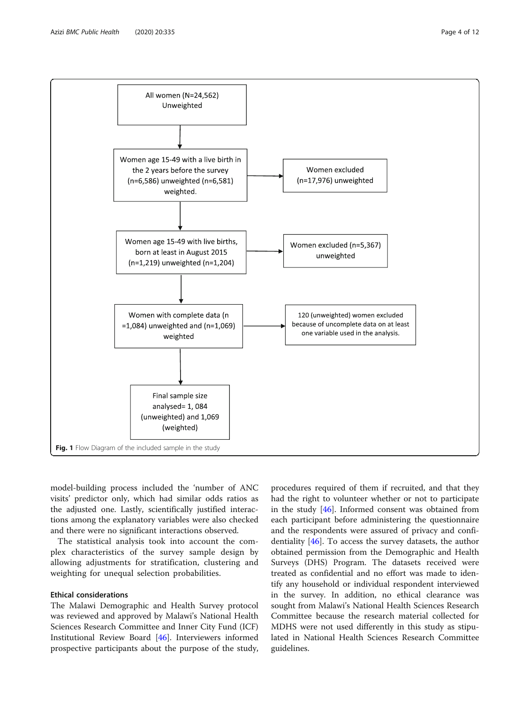<span id="page-3-0"></span>

model-building process included the 'number of ANC visits' predictor only, which had similar odds ratios as the adjusted one. Lastly, scientifically justified interactions among the explanatory variables were also checked and there were no significant interactions observed.

The statistical analysis took into account the complex characteristics of the survey sample design by allowing adjustments for stratification, clustering and weighting for unequal selection probabilities.

# Ethical considerations

The Malawi Demographic and Health Survey protocol was reviewed and approved by Malawi's National Health Sciences Research Committee and Inner City Fund (ICF) Institutional Review Board [[46\]](#page-10-0). Interviewers informed prospective participants about the purpose of the study,

procedures required of them if recruited, and that they had the right to volunteer whether or not to participate in the study [[46\]](#page-10-0). Informed consent was obtained from each participant before administering the questionnaire and the respondents were assured of privacy and confidentiality [\[46\]](#page-10-0). To access the survey datasets, the author obtained permission from the Demographic and Health Surveys (DHS) Program. The datasets received were treated as confidential and no effort was made to identify any household or individual respondent interviewed in the survey. In addition, no ethical clearance was sought from Malawi's National Health Sciences Research Committee because the research material collected for MDHS were not used differently in this study as stipulated in National Health Sciences Research Committee guidelines.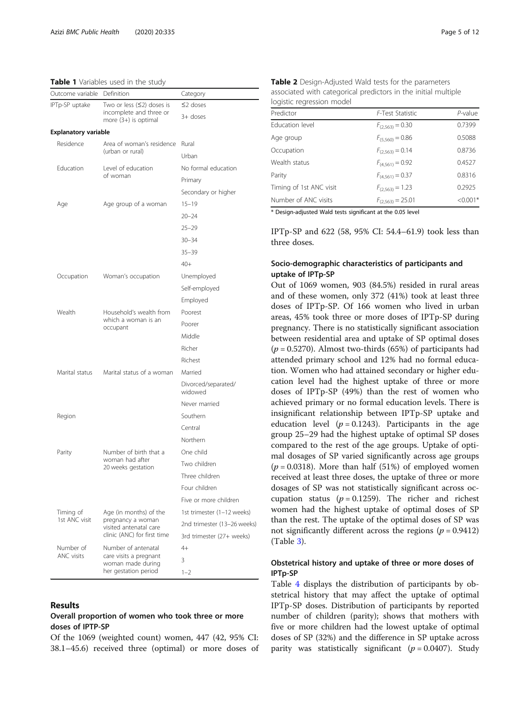<span id="page-4-0"></span>Table 1 Variables used in the study

| Outcome variable            | Definition                                                          | Category                       |  |
|-----------------------------|---------------------------------------------------------------------|--------------------------------|--|
| IPTp-SP uptake              | Two or less $(≤2)$ doses is                                         | $\leq$ 2 doses                 |  |
|                             | incomplete and three or<br>more $(3+)$ is optimal                   | $3+$ doses                     |  |
| <b>Explanatory variable</b> |                                                                     |                                |  |
| Residence                   | Area of woman's residence                                           | Rural                          |  |
|                             | (urban or rural)                                                    | Urban                          |  |
| Education                   | Level of education<br>of woman                                      | No formal education            |  |
|                             |                                                                     | Primary                        |  |
|                             |                                                                     | Secondary or higher            |  |
| Age                         | Age group of a woman                                                | $15 - 19$                      |  |
|                             |                                                                     | $20 - 24$                      |  |
|                             |                                                                     | $25 - 29$                      |  |
|                             |                                                                     | $30 - 34$                      |  |
|                             |                                                                     | $35 - 39$                      |  |
|                             |                                                                     | $40+$                          |  |
| Occupation                  | Woman's occupation                                                  | Unemployed                     |  |
|                             |                                                                     | Self-employed                  |  |
|                             |                                                                     | Employed                       |  |
| Wealth                      | Household's wealth from<br>which a woman is an<br>occupant          | Poorest                        |  |
|                             |                                                                     | Poorer                         |  |
|                             |                                                                     | Middle                         |  |
|                             |                                                                     | Richer                         |  |
|                             |                                                                     | Richest                        |  |
| Marital status              | Marital status of a woman                                           | Married                        |  |
|                             |                                                                     | Divorced/separated/<br>widowed |  |
|                             |                                                                     | Never married                  |  |
| Region                      |                                                                     | Southern                       |  |
|                             |                                                                     | Central                        |  |
|                             |                                                                     | Northern                       |  |
| Parity                      | Number of birth that a<br>woman had after<br>20 weeks gestation     | One child                      |  |
|                             |                                                                     | Two children                   |  |
|                             |                                                                     | Three children                 |  |
|                             |                                                                     | Four children                  |  |
|                             |                                                                     | Five or more children          |  |
| Timing of<br>1st ANC visit  | Age (in months) of the                                              | 1st trimester (1-12 weeks)     |  |
|                             | pregnancy a woman<br>visited antenatal care                         | 2nd trimester (13-26 weeks)    |  |
|                             | clinic (ANC) for first time                                         | 3rd trimester (27+ weeks)      |  |
| Number of                   | Number of antenatal                                                 | $4+$                           |  |
| <b>ANC visits</b>           | care visits a pregnant<br>woman made during<br>her gestation period | 3                              |  |
|                             |                                                                     | $1 - 2$                        |  |

## Results

# Overall proportion of women who took three or more doses of IPTP-SP

Of the 1069 (weighted count) women, 447 (42, 95% CI: 38.1–45.6) received three (optimal) or more doses of

Table 2 Design-Adjusted Wald tests for the parameters associated with categorical predictors in the initial multiple logistic regression model

| , o gio ci e i e gi essio i i i i i o a ei |                       |            |  |  |
|--------------------------------------------|-----------------------|------------|--|--|
| Predictor                                  | F-Test Statistic      | $P$ -value |  |  |
| Education level                            | $F_{(2,563)} = 0.30$  | 0.7399     |  |  |
| Age group                                  | $F_{(5,560)} = 0.86$  | 0.5088     |  |  |
| Occupation                                 | $F_{(2,563)} = 0.14$  | 0.8736     |  |  |
| Wealth status                              | $F_{(4,561)} = 0.92$  | 0.4527     |  |  |
| Parity                                     | $F_{(4,561)} = 0.37$  | 0.8316     |  |  |
| Timing of 1st ANC visit                    | $F_{(2,563)} = 1.23$  | 0.2925     |  |  |
| Number of ANC visits                       | $F_{(2,563)} = 25.01$ | $< 0.001*$ |  |  |

\* Design-adjusted Wald tests significant at the 0.05 level

IPTp-SP and 622 (58, 95% CI: 54.4–61.9) took less than three doses.

# Socio-demographic characteristics of participants and uptake of IPTp-SP

Out of 1069 women, 903 (84.5%) resided in rural areas and of these women, only 372 (41%) took at least three doses of IPTp-SP. Of 166 women who lived in urban areas, 45% took three or more doses of IPTp-SP during pregnancy. There is no statistically significant association between residential area and uptake of SP optimal doses  $(p = 0.5270)$ . Almost two-thirds (65%) of participants had attended primary school and 12% had no formal education. Women who had attained secondary or higher education level had the highest uptake of three or more doses of IPTp-SP (49%) than the rest of women who achieved primary or no formal education levels. There is insignificant relationship between IPTp-SP uptake and education level ( $p = 0.1243$ ). Participants in the age group 25–29 had the highest uptake of optimal SP doses compared to the rest of the age groups. Uptake of optimal dosages of SP varied significantly across age groups  $(p = 0.0318)$ . More than half (51%) of employed women received at least three doses, the uptake of three or more dosages of SP was not statistically significant across occupation status ( $p = 0.1259$ ). The richer and richest women had the highest uptake of optimal doses of SP than the rest. The uptake of the optimal doses of SP was not significantly different across the regions ( $p = 0.9412$ ) (Table [3\)](#page-5-0).

# Obstetrical history and uptake of three or more doses of IPTp-SP

Table [4](#page-6-0) displays the distribution of participants by obstetrical history that may affect the uptake of optimal IPTp-SP doses. Distribution of participants by reported number of children (parity); shows that mothers with five or more children had the lowest uptake of optimal doses of SP (32%) and the difference in SP uptake across parity was statistically significant ( $p = 0.0407$ ). Study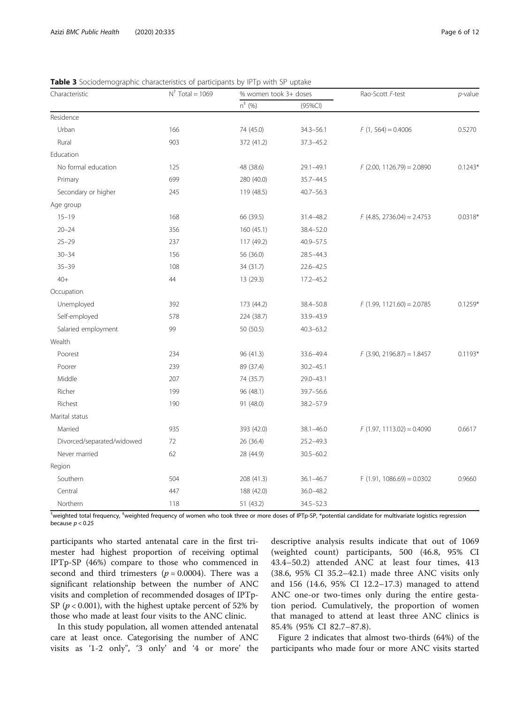| Characteristic             | $N^{\dagger}$ Total = 1069 | % women took 3+ doses |               | Rao-Scott F-test             | $p$ -value |
|----------------------------|----------------------------|-----------------------|---------------|------------------------------|------------|
|                            |                            | $n^{+}$ (%)           | (95%Cl)       |                              |            |
| Residence                  |                            |                       |               |                              |            |
| Urban                      | 166                        | 74 (45.0)             | $34.3 - 56.1$ | $F(1, 564) = 0.4006$         | 0.5270     |
| Rural                      | 903                        | 372 (41.2)            | 37.3-45.2     |                              |            |
| Education                  |                            |                       |               |                              |            |
| No formal education        | 125                        | 48 (38.6)             | $29.1 - 49.1$ | $F$ (2.00, 1126.79) = 2.0890 | $0.1243*$  |
| Primary                    | 699                        | 280 (40.0)            | 35.7-44.5     |                              |            |
| Secondary or higher        | 245                        | 119 (48.5)            | $40.7 - 56.3$ |                              |            |
| Age group                  |                            |                       |               |                              |            |
| $15 - 19$                  | 168                        | 66 (39.5)             | 31.4-48.2     | $F$ (4.85, 2736.04) = 2.4753 | $0.0318*$  |
| $20 - 24$                  | 356                        | 160 (45.1)            | 38.4-52.0     |                              |            |
| $25 - 29$                  | 237                        | 117 (49.2)            | $40.9 - 57.5$ |                              |            |
| $30 - 34$                  | 156                        | 56 (36.0)             | 28.5-44.3     |                              |            |
| $35 - 39$                  | 108                        | 34 (31.7)             | 22.6-42.5     |                              |            |
| $40+$                      | 44                         | 13 (29.3)             | 17.2-45.2     |                              |            |
| Occupation                 |                            |                       |               |                              |            |
| Unemployed                 | 392                        | 173 (44.2)            | 38.4-50.8     | $F(1.99, 1121.60) = 2.0785$  | $0.1259*$  |
| Self-employed              | 578                        | 224 (38.7)            | 33.9-43.9     |                              |            |
| Salaried employment        | 99                         | 50 (50.5)             | $40.3 - 63.2$ |                              |            |
| Wealth                     |                            |                       |               |                              |            |
| Poorest                    | 234                        | 96 (41.3)             | 33.6-49.4     | $F$ (3.90, 2196.87) = 1.8457 | $0.1193*$  |
| Poorer                     | 239                        | 89 (37.4)             | $30.2 - 45.1$ |                              |            |
| Middle                     | 207                        | 74 (35.7)             | $29.0 - 43.1$ |                              |            |
| Richer                     | 199                        | 96 (48.1)             | 39.7-56.6     |                              |            |
| Richest                    | 190                        | 91 (48.0)             | 38.2-57.9     |                              |            |
| Marital status             |                            |                       |               |                              |            |
| Married                    | 935                        | 393 (42.0)            | $38.1 - 46.0$ | $F(1.97, 1113.02) = 0.4090$  | 0.6617     |
| Divorced/separated/widowed | 72                         | 26 (36.4)             | $25.2 - 49.3$ |                              |            |
| Never married              | 62                         | 28 (44.9)             | $30.5 - 60.2$ |                              |            |
| Region                     |                            |                       |               |                              |            |
| Southern                   | 504                        | 208 (41.3)            | $36.1 - 46.7$ | $F(1.91, 1086.69) = 0.0302$  | 0.9660     |
| Central                    | 447                        | 188 (42.0)            | 36.0-48.2     |                              |            |
| Northern                   | 118                        | 51 (43.2)             | $34.5 - 52.3$ |                              |            |

<span id="page-5-0"></span>Table 3 Sociodemographic characteristics of participants by IPTp with SP uptake

tweighted total frequency, ‡weighted frequency of women who took three or more doses of IPTp-SP, \*potential candidate for multivariate logistics regression because  $p < 0.25$ 

participants who started antenatal care in the first trimester had highest proportion of receiving optimal IPTp-SP (46%) compare to those who commenced in second and third trimesters ( $p = 0.0004$ ). There was a significant relationship between the number of ANC visits and completion of recommended dosages of IPTp-SP ( $p < 0.001$ ), with the highest uptake percent of 52% by those who made at least four visits to the ANC clinic.

In this study population, all women attended antenatal care at least once. Categorising the number of ANC visits as '1-2 only", '3 only' and '4 or more' the descriptive analysis results indicate that out of 1069 (weighted count) participants, 500 (46.8, 95% CI 43.4–50.2) attended ANC at least four times, 413 (38.6, 95% CI 35.2–42.1) made three ANC visits only and 156 (14.6, 95% CI 12.2–17.3) managed to attend ANC one-or two-times only during the entire gestation period. Cumulatively, the proportion of women that managed to attend at least three ANC clinics is 85.4% (95% CI 82.7–87.8).

Figure [2](#page-6-0) indicates that almost two-thirds (64%) of the participants who made four or more ANC visits started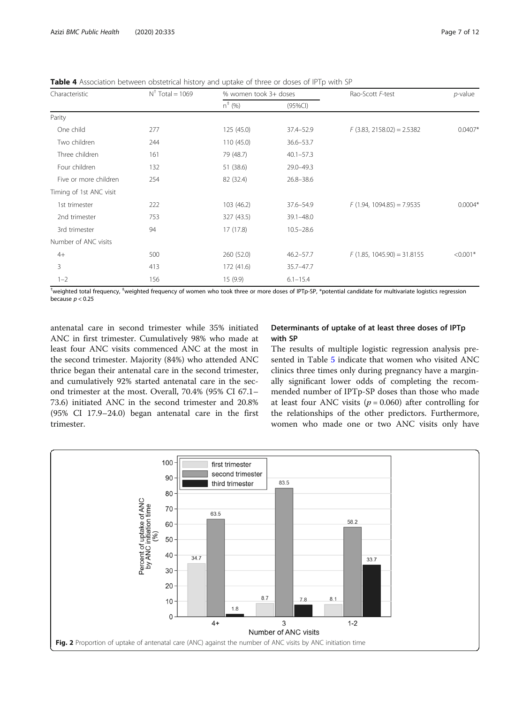<span id="page-6-0"></span>Table 4 Association between obstetrical history and uptake of three or doses of IPTp with SP

| Characteristic          | $N^{\dagger}$ Total = 1069 | % women took 3+ doses |               | Rao-Scott F-test             | <i>p</i> -value |
|-------------------------|----------------------------|-----------------------|---------------|------------------------------|-----------------|
|                         |                            | $n^{+}$ (%)           | $(95\%CI)$    |                              |                 |
| Parity                  |                            |                       |               |                              |                 |
| One child               | 277                        | 125(45.0)             | 37.4-52.9     | $F$ (3.83, 2158.02) = 2.5382 | $0.0407*$       |
| Two children            | 244                        | 110 (45.0)            | $36.6 - 53.7$ |                              |                 |
| Three children          | 161                        | 79 (48.7)             | $40.1 - 57.3$ |                              |                 |
| Four children           | 132                        | 51 (38.6)             | 29.0-49.3     |                              |                 |
| Five or more children   | 254                        | 82 (32.4)             | $26.8 - 38.6$ |                              |                 |
| Timing of 1st ANC visit |                            |                       |               |                              |                 |
| 1st trimester           | 222                        | 103 (46.2)            | 37.6-54.9     | $F(1.94, 1094.85) = 7.9535$  | $0.0004*$       |
| 2nd trimester           | 753                        | 327 (43.5)            | $39.1 - 48.0$ |                              |                 |
| 3rd trimester           | 94                         | 17(17.8)              | $10.5 - 28.6$ |                              |                 |
| Number of ANC visits    |                            |                       |               |                              |                 |
| $4+$                    | 500                        | 260 (52.0)            | $46.2 - 57.7$ | $F(1.85, 1045.90) = 31.8155$ | $< 0.001*$      |
| 3                       | 413                        | 172 (41.6)            | 35.7-47.7     |                              |                 |
| $1 - 2$                 | 156                        | 15 (9.9)              | $6.1 - 15.4$  |                              |                 |

tweighted total frequency, ‡weighted frequency of women who took three or more doses of IPTp-SP, \*potential candidate for multivariate logistics regression because  $p < 0.25$ 

antenatal care in second trimester while 35% initiated ANC in first trimester. Cumulatively 98% who made at least four ANC visits commenced ANC at the most in the second trimester. Majority (84%) who attended ANC thrice began their antenatal care in the second trimester, and cumulatively 92% started antenatal care in the second trimester at the most. Overall, 70.4% (95% CI 67.1– 73.6) initiated ANC in the second trimester and 20.8% (95% CI 17.9–24.0) began antenatal care in the first trimester.

# Determinants of uptake of at least three doses of IPTp with SP

The results of multiple logistic regression analysis presented in Table [5](#page-7-0) indicate that women who visited ANC clinics three times only during pregnancy have a marginally significant lower odds of completing the recommended number of IPTp-SP doses than those who made at least four ANC visits ( $p = 0.060$ ) after controlling for the relationships of the other predictors. Furthermore, women who made one or two ANC visits only have

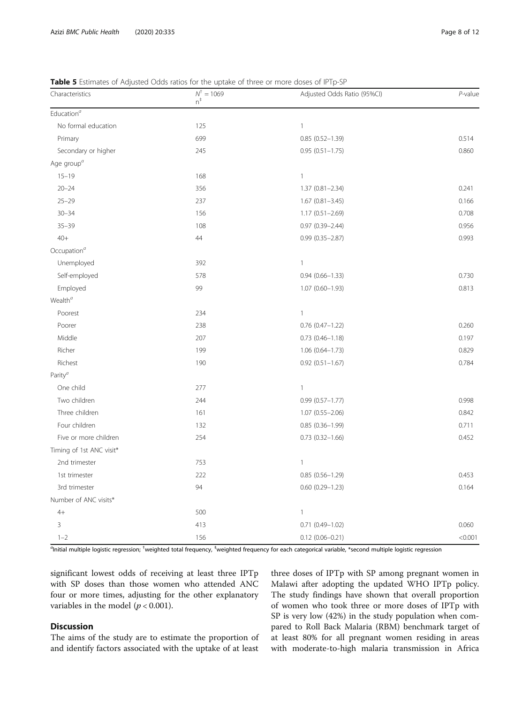| Characteristics                     | <b>TWILE 3</b> EStimates or hajasted bads ratios for the aptaile or timed or more doses or in ip sit<br>$N^{\dagger} = 1069$<br>$n^{\ddagger}$ | Adjusted Odds Ratio (95%CI) | $P$ -value |
|-------------------------------------|------------------------------------------------------------------------------------------------------------------------------------------------|-----------------------------|------------|
| $\mathsf{Education}^a$              |                                                                                                                                                |                             |            |
| No formal education                 | 125                                                                                                                                            | $\mathbf{1}$                |            |
| Primary                             | 699                                                                                                                                            | $0.85(0.52 - 1.39)$         | 0.514      |
| Secondary or higher                 | 245                                                                                                                                            | $0.95(0.51 - 1.75)$         | 0.860      |
| Age group <sup><math>a</math></sup> |                                                                                                                                                |                             |            |
| $15 - 19$                           | 168                                                                                                                                            | $\mathbf{1}$                |            |
| $20 - 24$                           | 356                                                                                                                                            | $1.37(0.81 - 2.34)$         | 0.241      |
| $25 - 29$                           | 237                                                                                                                                            | $1.67(0.81 - 3.45)$         | 0.166      |
| $30 - 34$                           | 156                                                                                                                                            | $1.17(0.51 - 2.69)$         | 0.708      |
| $35 - 39$                           | 108                                                                                                                                            | $0.97(0.39 - 2.44)$         | 0.956      |
| $40+$                               | 44                                                                                                                                             | $0.99(0.35 - 2.87)$         | 0.993      |
| Occupation <sup>a</sup>             |                                                                                                                                                |                             |            |
| Unemployed                          | 392                                                                                                                                            | $\mathbf{1}$                |            |
| Self-employed                       | 578                                                                                                                                            | $0.94(0.66 - 1.33)$         | 0.730      |
| Employed                            | 99                                                                                                                                             | $1.07(0.60 - 1.93)$         | 0.813      |
| Wealth $^a$                         |                                                                                                                                                |                             |            |
| Poorest                             | 234                                                                                                                                            | $\mathbf{1}$                |            |
| Poorer                              | 238                                                                                                                                            | $0.76$ $(0.47-1.22)$        | 0.260      |
| Middle                              | 207                                                                                                                                            | $0.73(0.46 - 1.18)$         | 0.197      |
| Richer                              | 199                                                                                                                                            | 1.06 (0.64-1.73)            | 0.829      |
| Richest                             | 190                                                                                                                                            | $0.92(0.51 - 1.67)$         | 0.784      |
| Parity <sup>a</sup>                 |                                                                                                                                                |                             |            |
| One child                           | 277                                                                                                                                            | $\mathbf{1}$                |            |
| Two children                        | 244                                                                                                                                            | $0.99(0.57 - 1.77)$         | 0.998      |
| Three children                      | 161                                                                                                                                            | $1.07(0.55 - 2.06)$         | 0.842      |
| Four children                       | 132                                                                                                                                            | $0.85(0.36 - 1.99)$         | 0.711      |
| Five or more children               | 254                                                                                                                                            | $0.73(0.32 - 1.66)$         | 0.452      |
| Timing of 1st ANC visit*            |                                                                                                                                                |                             |            |
| 2nd trimester                       | 753                                                                                                                                            | $\mathbf{1}$                |            |
| 1st trimester                       | 222                                                                                                                                            | $0.85(0.56 - 1.29)$         | 0.453      |
| 3rd trimester                       | 94                                                                                                                                             | $0.60(0.29 - 1.23)$         | 0.164      |
| Number of ANC visits*               |                                                                                                                                                |                             |            |
| $4+$                                | 500                                                                                                                                            | $\mathbf{1}$                |            |
| 3                                   | 413                                                                                                                                            | $0.71(0.49 - 1.02)$         | 0.060      |
| $1 - 2$                             | 156                                                                                                                                            | $0.12(0.06 - 0.21)$         | < 0.001    |

<span id="page-7-0"></span>Table 5 Estimates of Adjusted Odds ratios for the uptake of three or more doses of IPTp-SP

<sup>a</sup>Initial multiple logistic regression; <sup>†</sup>weighted total frequency, <sup>‡</sup>weighted frequency for each categorical variable, \*second multiple logistic regression

significant lowest odds of receiving at least three IPTp with SP doses than those women who attended ANC four or more times, adjusting for the other explanatory variables in the model ( $p < 0.001$ ).

# Discussion

The aims of the study are to estimate the proportion of and identify factors associated with the uptake of at least

three doses of IPTp with SP among pregnant women in Malawi after adopting the updated WHO IPTp policy. The study findings have shown that overall proportion of women who took three or more doses of IPTp with SP is very low (42%) in the study population when compared to Roll Back Malaria (RBM) benchmark target of at least 80% for all pregnant women residing in areas with moderate-to-high malaria transmission in Africa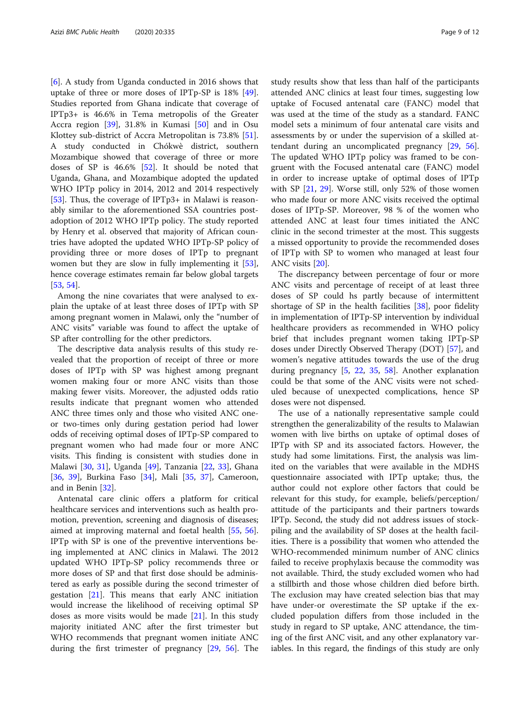[[6\]](#page-9-0). A study from Uganda conducted in 2016 shows that uptake of three or more doses of IPTp-SP is 18% [\[49](#page-10-0)]. Studies reported from Ghana indicate that coverage of IPTp3+ is 46.6% in Tema metropolis of the Greater Accra region [\[39\]](#page-10-0), 31.8% in Kumasi [[50\]](#page-10-0) and in Osu Klottey sub-district of Accra Metropolitan is 73.8% [\[51](#page-10-0)]. A study conducted in Chókwè district, southern Mozambique showed that coverage of three or more doses of SP is 46.6% [[52\]](#page-10-0). It should be noted that Uganda, Ghana, and Mozambique adopted the updated WHO IPTp policy in 2014, 2012 and 2014 respectively [[53\]](#page-10-0). Thus, the coverage of IPTp3+ in Malawi is reasonably similar to the aforementioned SSA countries postadoption of 2012 WHO IPTp policy. The study reported by Henry et al. observed that majority of African countries have adopted the updated WHO IPTp-SP policy of providing three or more doses of IPTp to pregnant women but they are slow in fully implementing it [\[53](#page-10-0)], hence coverage estimates remain far below global targets [[53,](#page-10-0) [54\]](#page-10-0).

Among the nine covariates that were analysed to explain the uptake of at least three doses of IPTp with SP among pregnant women in Malawi, only the "number of ANC visits" variable was found to affect the uptake of SP after controlling for the other predictors.

The descriptive data analysis results of this study revealed that the proportion of receipt of three or more doses of IPTp with SP was highest among pregnant women making four or more ANC visits than those making fewer visits. Moreover, the adjusted odds ratio results indicate that pregnant women who attended ANC three times only and those who visited ANC oneor two-times only during gestation period had lower odds of receiving optimal doses of IPTp-SP compared to pregnant women who had made four or more ANC visits. This finding is consistent with studies done in Malawi [\[30](#page-10-0), [31\]](#page-10-0), Uganda [\[49\]](#page-10-0), Tanzania [\[22](#page-10-0), [33\]](#page-10-0), Ghana [[36,](#page-10-0) [39\]](#page-10-0), Burkina Faso [\[34\]](#page-10-0), Mali [\[35,](#page-10-0) [37](#page-10-0)], Cameroon, and in Benin [\[32](#page-10-0)].

Antenatal care clinic offers a platform for critical healthcare services and interventions such as health promotion, prevention, screening and diagnosis of diseases; aimed at improving maternal and foetal health [[55](#page-10-0), [56](#page-11-0)]. IPTp with SP is one of the preventive interventions being implemented at ANC clinics in Malawi. The 2012 updated WHO IPTp-SP policy recommends three or more doses of SP and that first dose should be administered as early as possible during the second trimester of gestation [\[21](#page-10-0)]. This means that early ANC initiation would increase the likelihood of receiving optimal SP doses as more visits would be made [[21](#page-10-0)]. In this study majority initiated ANC after the first trimester but WHO recommends that pregnant women initiate ANC during the first trimester of pregnancy [\[29,](#page-10-0) [56](#page-11-0)]. The study results show that less than half of the participants attended ANC clinics at least four times, suggesting low uptake of Focused antenatal care (FANC) model that was used at the time of the study as a standard. FANC model sets a minimum of four antenatal care visits and assessments by or under the supervision of a skilled attendant during an uncomplicated pregnancy [[29,](#page-10-0) [56](#page-11-0)]. The updated WHO IPTp policy was framed to be congruent with the Focused antenatal care (FANC) model in order to increase uptake of optimal doses of IPTp with SP [[21,](#page-10-0) [29](#page-10-0)]. Worse still, only 52% of those women who made four or more ANC visits received the optimal doses of IPTp-SP. Moreover, 98 % of the women who attended ANC at least four times initiated the ANC clinic in the second trimester at the most. This suggests a missed opportunity to provide the recommended doses of IPTp with SP to women who managed at least four ANC visits [\[20\]](#page-10-0).

The discrepancy between percentage of four or more ANC visits and percentage of receipt of at least three doses of SP could hs partly because of intermittent shortage of SP in the health facilities  $[38]$  $[38]$  $[38]$ , poor fidelity in implementation of IPTp-SP intervention by individual healthcare providers as recommended in WHO policy brief that includes pregnant women taking IPTp-SP doses under Directly Observed Therapy (DOT) [\[57](#page-11-0)], and women's negative attitudes towards the use of the drug during pregnancy [[5](#page-9-0), [22](#page-10-0), [35](#page-10-0), [58\]](#page-11-0). Another explanation could be that some of the ANC visits were not scheduled because of unexpected complications, hence SP doses were not dispensed.

The use of a nationally representative sample could strengthen the generalizability of the results to Malawian women with live births on uptake of optimal doses of IPTp with SP and its associated factors. However, the study had some limitations. First, the analysis was limited on the variables that were available in the MDHS questionnaire associated with IPTp uptake; thus, the author could not explore other factors that could be relevant for this study, for example, beliefs/perception/ attitude of the participants and their partners towards IPTp. Second, the study did not address issues of stockpiling and the availability of SP doses at the health facilities. There is a possibility that women who attended the WHO-recommended minimum number of ANC clinics failed to receive prophylaxis because the commodity was not available. Third, the study excluded women who had a stillbirth and those whose children died before birth. The exclusion may have created selection bias that may have under-or overestimate the SP uptake if the excluded population differs from those included in the study in regard to SP uptake, ANC attendance, the timing of the first ANC visit, and any other explanatory variables. In this regard, the findings of this study are only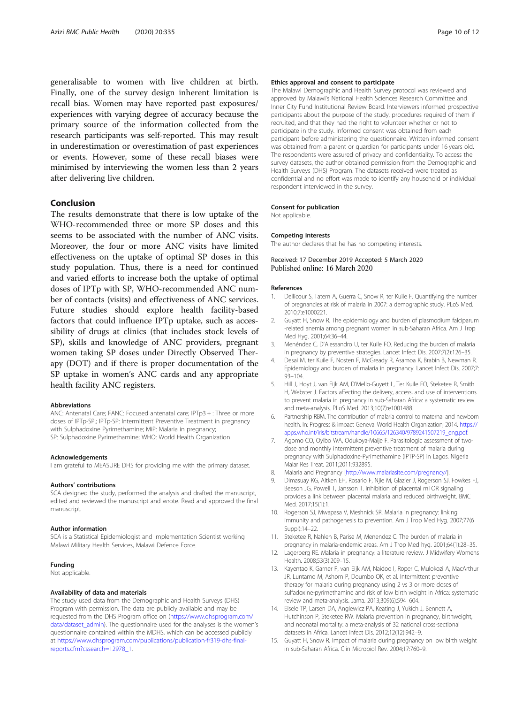<span id="page-9-0"></span>generalisable to women with live children at birth. Finally, one of the survey design inherent limitation is recall bias. Women may have reported past exposures/ experiences with varying degree of accuracy because the primary source of the information collected from the research participants was self-reported. This may result in underestimation or overestimation of past experiences or events. However, some of these recall biases were minimised by interviewing the women less than 2 years after delivering live children.

# Conclusion

The results demonstrate that there is low uptake of the WHO-recommended three or more SP doses and this seems to be associated with the number of ANC visits. Moreover, the four or more ANC visits have limited effectiveness on the uptake of optimal SP doses in this study population. Thus, there is a need for continued and varied efforts to increase both the uptake of optimal doses of IPTp with SP, WHO-recommended ANC number of contacts (visits) and effectiveness of ANC services. Future studies should explore health facility-based factors that could influence IPTp uptake, such as accessibility of drugs at clinics (that includes stock levels of SP), skills and knowledge of ANC providers, pregnant women taking SP doses under Directly Observed Therapy (DOT) and if there is proper documentation of the SP uptake in women's ANC cards and any appropriate health facility ANC registers.

#### Abbreviations

ANC: Antenatal Care; FANC: Focused antenatal care; IPTp3 + : Three or more doses of IPTp-SP.; IPTp-SP: Intermittent Preventive Treatment in pregnancy with Sulphadoxine Pyrimethamine; MiP: Malaria in pregnancy; SP: Sulphadoxine Pyrimethamine; WHO: World Health Organization

#### Acknowledgements

I am grateful to MEASURE DHS for providing me with the primary dataset.

#### Authors' contributions

SCA designed the study, performed the analysis and drafted the manuscript, edited and reviewed the manuscript and wrote. Read and approved the final manuscript.

#### Author information

SCA is a Statistical Epidemiologist and Implementation Scientist working Malawi Military Health Services, Malawi Defence Force.

#### Funding

Not applicable.

#### Availability of data and materials

The study used data from the Demographic and Health Surveys (DHS) Program with permission. The data are publicly available and may be requested from the DHS Program office on [\(https://www.dhsprogram.com/](https://www.dhsprogram.com/data/dataset_admin) [data/dataset\\_admin\)](https://www.dhsprogram.com/data/dataset_admin). The questionnaire used for the analyses is the women's questionnaire contained within the MDHS, which can be accessed publicly at [https://www.dhsprogram.com/publications/publication-fr319-dhs-final](https://www.dhsprogram.com/publications/publication-fr319-dhs-final-reports.cfm?cssearch=12978_1)[reports.cfm?cssearch=12978\\_1](https://www.dhsprogram.com/publications/publication-fr319-dhs-final-reports.cfm?cssearch=12978_1).

#### Ethics approval and consent to participate

The Malawi Demographic and Health Survey protocol was reviewed and approved by Malawi's National Health Sciences Research Committee and Inner City Fund Institutional Review Board. Interviewers informed prospective participants about the purpose of the study, procedures required of them if recruited, and that they had the right to volunteer whether or not to participate in the study. Informed consent was obtained from each participant before administering the questionnaire. Written informed consent was obtained from a parent or guardian for participants under 16 years old. The respondents were assured of privacy and confidentiality. To access the survey datasets, the author obtained permission from the Demographic and Health Surveys (DHS) Program. The datasets received were treated as confidential and no effort was made to identify any household or individual respondent interviewed in the survey.

# Consent for publication

Not applicable.

#### Competing interests

The author declares that he has no competing interests.

# Received: 17 December 2019 Accepted: 5 March 2020

#### References

- 1. Dellicour S, Tatem A, Guerra C, Snow R, ter Kuile F. Quantifying the number of pregnancies at risk of malaria in 2007: a demographic study. PLoS Med. 2010;7:e1000221.
- 2. Guyatt H, Snow R. The epidemiology and burden of plasmodium falciparum -related anemia among pregnant women in sub-Saharan Africa. Am J Trop Med Hyg. 2001;64:36–44.
- 3. Menéndez C, D'Alessandro U, ter Kuile FO. Reducing the burden of malaria in pregnancy by preventive strategies. Lancet Infect Dis. 2007;7(2):126–35.
- 4. Desai M, ter Kuile F, Nosten F, McGready R, Asamoa K, Brabin B, Newman R. Epidemiology and burden of malaria in pregnancy. Lancet Infect Dis. 2007;7: 93–104.
- 5. Hill J, Hoyt J, van Eijk AM, D'Mello-Guyett L, Ter Kuile FO, Steketee R, Smith H, Webster J. Factors affecting the delivery, access, and use of interventions to prevent malaria in pregnancy in sub-Saharan Africa: a systematic review and meta-analysis. PLoS Med. 2013;10(7):e1001488.
- 6. Partnership RBM. The contribution of malaria control to maternal and newborn health. In: Progress & impact Geneva: World Health Organization; 2014. [https://](https://www.apps.who.int/iris/bitstream/handle/10665/126340/9789241507219_eng.pdf) [apps.who.int/iris/bitstream/handle/10665/126340/9789241507219\\_eng.pdf](https://www.apps.who.int/iris/bitstream/handle/10665/126340/9789241507219_eng.pdf).
- 7. Agomo CO, Oyibo WA, Odukoya-Maije F. Parasitologic assessment of twodose and monthly intermittent preventive treatment of malaria during pregnancy with Sulphadoxine-Pyrimethamine (IPTP-SP) in Lagos. Nigeria Malar Res Treat. 2011;2011:932895.
- 8. Malaria and Pregnancy [<http://www.malariasite.com/pregnancy/>].
- 9. Dimasuay KG, Aitken EH, Rosario F, Njie M, Glazier J, Rogerson SJ, Fowkes FJ, Beeson JG, Powell T, Jansson T. Inhibition of placental mTOR signaling provides a link between placental malaria and reduced birthweight. BMC Med. 2017;15(1):1.
- 10. Rogerson SJ, Mwapasa V, Meshnick SR. Malaria in pregnancy: linking immunity and pathogenesis to prevention. Am J Trop Med Hyg. 2007;77(6 Suppl):14–22.
- 11. Steketee R, Nahlen B, Parise M, Menendez C. The burden of malaria in pregnancy in malaria-endemic areas. Am J Trop Med hyg. 2001;64(1):28–35.
- 12. Lagerberg RE. Malaria in pregnancy: a literature review. J Midwifery Womens Health. 2008;53(3):209–15.
- 13. Kayentao K, Garner P, van Eijk AM, Naidoo I, Roper C, Mulokozi A, MacArthur JR, Luntamo M, Ashorn P, Doumbo OK, et al. Intermittent preventive therapy for malaria during pregnancy using 2 vs 3 or more doses of sulfadoxine-pyrimethamine and risk of low birth weight in Africa: systematic review and meta-analysis. Jama. 2013;309(6):594–604.
- 14. Eisele TP, Larsen DA, Anglewicz PA, Keating J, Yukich J, Bennett A, Hutchinson P, Steketee RW. Malaria prevention in pregnancy, birthweight, and neonatal mortality: a meta-analysis of 32 national cross-sectional datasets in Africa. Lancet Infect Dis. 2012;12(12):942–9.
- 15. Guyatt H, Snow R. Impact of malaria during pregnancy on low birth weight in sub-Saharan Africa. Clin Microbiol Rev. 2004;17:760–9.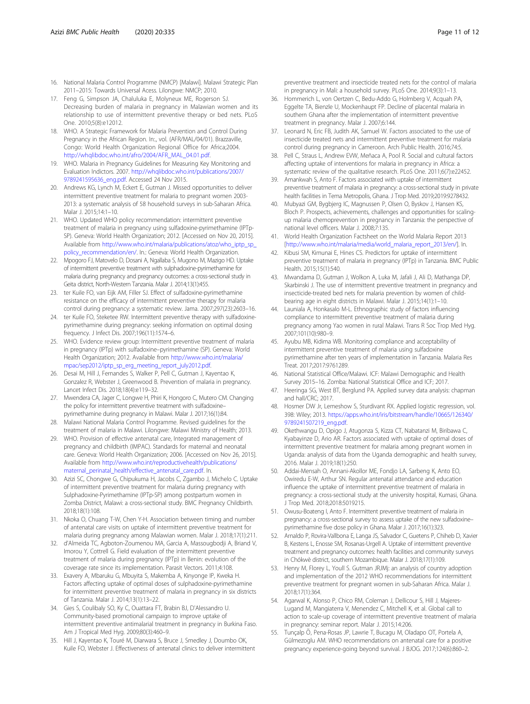- <span id="page-10-0"></span>16. National Malaria Control Programme (NMCP) [Malawi]. Malawi Strategic Plan 2011–2015: Towards Universal Acess. Lilongwe: NMCP; 2010.
- 17. Feng G, Simpson JA, Chaluluka E, Molyneux ME, Rogerson SJ. Decreasing burden of malaria in pregnancy in Malawian women and its relationship to use of intermittent preventive therapy or bed nets. PLoS One. 2010;5(8):e12012.
- 18. WHO. A Strategic Framework for Malaria Prevention and Control During Pregnancy in the African Region. In:., vol. (AFR/MAL/04/01). Brazzaville, Congo: World Health Organization Regional Office for Africa;2004. [http://whqlibdoc.who.int/afro/2004/AFR\\_MAL\\_04.01.pdf.](http://whqlibdoc.who.int/afro/2004/AFR_MAL_04.01.pdf)
- 19. WHO. Malaria in Pregnancy Guidelines for Measuring Key Monitoring and Evaluation Indictors. 2007. [http://whqlibdoc.who.int/publications/2007/](http://whqlibdoc.who.int/publications/2007/9789241595636_eng.pdf) [9789241595636\\_eng.pdf](http://whqlibdoc.who.int/publications/2007/9789241595636_eng.pdf). Accessed 24 Nov 2015.
- 20. Andrews KG, Lynch M, Eckert E, Gutman J. Missed opportunities to deliver intermittent preventive treatment for malaria to pregnant women 2003- 2013: a systematic analysis of 58 household surveys in sub-Saharan Africa. Malar J. 2015;14:1–10.
- 21. WHO. Updated WHO policy recommendation: intermittent preventive treatment of malaria in pregnancy using sulfadoxine-pyrimethamine (IPTp-SP). Geneva: World Health Organization; 2012. [Accessed on Nov 20, 2015]. Available from [http://www.who.int/malaria/publications/atoz/who\\_iptp\\_sp\\_](http://www.who.int/malaria/publications/atoz/who_iptp_sp_policy_recommendation/en/) [policy\\_recommendation/en/.](http://www.who.int/malaria/publications/atoz/who_iptp_sp_policy_recommendation/en/) In.: Geneva: World Health Organization.
- 22. Mpogoro FJ, Matovelo D, Dosani A, Ngallaba S, Mugono M, Mazigo HD. Uptake of intermittent preventive treatment with sulphadoxine-pyrimethamine for malaria during pregnancy and pregnancy outcomes: a cross-sectional study in Geita district, North-Western Tanzania. Malar J. 2014;13(1):455.
- 23. ter Kuile FO, van Eijk AM, Filler SJ. Effect of sulfadoxine-pyrimethamine resistance on the efficacy of intermittent preventive therapy for malaria control during pregnancy: a systematic review. Jama. 2007;297(23):2603–16.
- 24. ter Kuile FO, Steketee RW. Intermittent preventive therapy with sulfadoxinepyrimethamine during pregnancy: seeking information on optimal dosing frequency. J Infect Dis. 2007;196(11):1574–6.
- 25. WHO. Evidence review group: Intermittent preventive treatment of malaria in pregnancy (IPTp) with sulfadoxine–pyrimethamine (SP). Geneva: World Health Organization; 2012. Available from [http://www.who.int/malaria/](http://www.who.int/malaria/mpac/sep2012/iptp_sp_erg_meeting_report_july2012.pdf.;) [mpac/sep2012/iptp\\_sp\\_erg\\_meeting\\_report\\_july2012.pdf](http://www.who.int/malaria/mpac/sep2012/iptp_sp_erg_meeting_report_july2012.pdf.;).
- 26. Desai M, Hill J, Fernandes S, Walker P, Pell C, Gutman J, Kayentao K, Gonzalez R, Webster J, Greenwood B. Prevention of malaria in pregnancy. Lancet Infect Dis. 2018;18(4):e119–32.
- 27. Mwendera CA, Jager C, Longwe H, Phiri K, Hongoro C, Mutero CM. Changing the policy for intermittent preventive treatment with sulfadoxine– pyrimethamine during pregnancy in Malawi. Malar J. 2017;16(1):84.
- 28. Malawi National Malaria Control Programme. Revised guidelines for the treatment of malaria in Malawi. Lilongwe: Malawi Ministry of Health; 2013.
- 29. WHO. Provision of effective antenatal care, Integrated management of pregnancy and childbirth (IMPAC). Standards for maternal and neonatal care. Geneva: World Health Organization; 2006. [Accessed on Nov 26, 2015]. Available from [http://www.who.int/reproductivehealth/publications/](http://www.who.int/reproductivehealth/publications/maternal_perinatal_health/effective_antenatal_care.pdf) [maternal\\_perinatal\\_health/effective\\_antenatal\\_care.pdf.](http://www.who.int/reproductivehealth/publications/maternal_perinatal_health/effective_antenatal_care.pdf) In.
- 30. Azizi SC, Chongwe G, Chipukuma H, Jacobs C, Zgambo J, Michelo C. Uptake of intermittent preventive treatment for malaria during pregnancy with Sulphadoxine-Pyrimethamine (IPTp-SP) among postpartum women in Zomba District, Malawi: a cross-sectional study. BMC Pregnancy Childbirth. 2018;18(1):108.
- 31. Nkoka O, Chuang T-W, Chen Y-H. Association between timing and number of antenatal care visits on uptake of intermittent preventive treatment for malaria during pregnancy among Malawian women. Malar J. 2018;17(1):211.
- 32. d'Almeida TC, Agboton-Zoumenou MA, Garcia A, Massougbodji A, Briand V, Imorou Y, Cottrell G. Field evaluation of the intermittent preventive treatment of malaria during pregnancy (IPTp) in Benin: evolution of the coverage rate since its implementation. Parasit Vectors. 2011;4:108.
- 33. Exavery A, Mbaruku G, Mbuyita S, Makemba A, Kinyonge IP, Kweka H. Factors affecting uptake of optimal doses of sulphadoxine-pyrimethamine for intermittent preventive treatment of malaria in pregnancy in six districts of Tanzania. Malar J. 2014;13(1):13–22.
- 34. Gies S, Coulibaly SO, Ky C, Ouattara FT, Brabin BJ, D'Alessandro U. Community-based promotional campaign to improve uptake of intermittent preventive antimalarial treatment in pregnancy in Burkina Faso. Am J Tropical Med Hyg. 2009;80(3):460–9.
- 35. Hill J, Kayentao K, Touré M, Diarwara S, Bruce J, Smedley J, Doumbo OK, Kuile FO, Webster J. Effectiveness of antenatal clinics to deliver intermittent

preventive treatment and insecticide treated nets for the control of malaria in pregnancy in Mali: a household survey. PLoS One. 2014;9(3):1–13.

- 36. Hommerich L, von Oertzen C, Bedu-Addo G, Holmberg V, Acquah PA, Eggelte TA, Bienzle U, Mockenhaupt FP. Decline of placental malaria in southern Ghana after the implementation of intermittent preventive treatment in pregnancy. Malar J. 2007;6:144.
- Leonard N, Eric FB, Judith AK, Samuel W. Factors associated to the use of insecticide treated nets and intermittent preventive treatment for malaria control during pregnancy in Cameroon. Arch Public Health. 2016;74:5.
- 38. Pell C, Straus L, Andrew EVW, Meñaca A, Pool R. Social and cultural factors affecting uptake of interventions for malaria in pregnancy in Africa: a systematic review of the qualitative research. PLoS One. 2011;6(7):e22452.
- 39. Amankwah S, Anto F. Factors associated with uptake of intermittent preventive treatment of malaria in pregnancy: a cross-sectional study in private health facilities in Tema Metropolis, Ghana. J Trop Med. 2019;2019:9278432.
- 40. Mubyazi GM, Bygbjerg IC, Magnussen P, Olsen O, Byskov J, Hansen KS, Bloch P. Prospects, achievements, challenges and opportunities for scalingup malaria chemoprevention in pregnancy in Tanzania: the perspective of national level officers. Malar J. 2008;7:135.
- 41. World Health Organization Factsheet on the World Malaria Report 2013 [[http://www.who.int/malaria/media/world\\_malaria\\_report\\_2013/en/](http://www.who.int/malaria/media/world_malaria_report_2013/en/)]. In.
- 42. Kibusi SM, Kimunai E, Hines CS. Predictors for uptake of intermittent preventive treatment of malaria in pregnancy (IPTp) in Tanzania. BMC Public Health. 2015;15(1):540.
- 43. Mwandama D, Gutman J, Wolkon A, Luka M, Jafali J, Ali D, Mathanga DP, Skarbinski J. The use of intermittent preventive treatment in pregnancy and insecticide-treated bed nets for malaria prevention by women of childbearing age in eight districts in Malawi. Malar J. 2015;14(1):1–10.
- 44. Launiala A, Honkasalo M-L. Ethnographic study of factors influencing compliance to intermittent preventive treatment of malaria during pregnancy among Yao women in rural Malawi. Trans R Soc Trop Med Hyg. 2007;101(10):980–9.
- 45. Ayubu MB, Kidima WB. Monitoring compliance and acceptability of intermittent preventive treatment of malaria using sulfadoxine pyrimethamine after ten years of implementation in Tanzania. Malaria Res Treat. 2017;2017:9761289.
- 46. National Statistical Office/Malawi. ICF: Malawi Demographic and Health Survey 2015–16. Zomba: National Statistical Office and ICF; 2017.
- 47. Heeringa SG, West BT, Berglund PA. Applied survey data analysis: chapman and hall/CRC; 2017.
- 48. Hosmer DW Jr, Lemeshow S, Sturdivant RX. Applied logistic regression, vol. 398: Wiley; 2013. [https://apps.who.int/iris/bitstream/handle/10665/126340/](https://www.apps.who.int/iris/bitstream/handle/10665/126340/9789241507219_eng.pdf) [9789241507219\\_eng.pdf](https://www.apps.who.int/iris/bitstream/handle/10665/126340/9789241507219_eng.pdf).
- 49. Okethwangu D, Opigo J, Atugonza S, Kizza CT, Nabatanzi M, Biribawa C, Kyabayinze D, Ario AR. Factors associated with uptake of optimal doses of intermittent preventive treatment for malaria among pregnant women in Uganda: analysis of data from the Uganda demographic and health survey, 2016. Malar J. 2019;18(1):250.
- 50. Addai-Mensah O, Annani-Akollor ME, Fondjo LA, Sarbeng K, Anto EO, Owiredu E-W, Arthur SN. Regular antenatal attendance and education influence the uptake of intermittent preventive treatment of malaria in pregnancy: a cross-sectional study at the university hospital, Kumasi, Ghana. J Trop Med. 2018;2018:5019215.
- 51. Owusu-Boateng I, Anto F. Intermittent preventive treatment of malaria in pregnancy: a cross-sectional survey to assess uptake of the new sulfadoxine– pyrimethamine five dose policy in Ghana. Malar J. 2017;16(1):323.
- 52. Arnaldo P, Rovira-Vallbona E, Langa JS, Salvador C, Guetens P, Chiheb D, Xavier B, Kestens L, Enosse SM, Rosanas-Urgell A. Uptake of intermittent preventive treatment and pregnancy outcomes: health facilities and community surveys in Chókwè district, southern Mozambique. Malar J. 2018;17(1):109.
- 53. Henry M, Florey L, Youll S. Gutman JRJMj: an analysis of country adoption and implementation of the 2012 WHO recommendations for intermittent preventive treatment for pregnant women in sub-Saharan Africa. Malar J. 2018;17(1):364.
- 54. Agarwal K, Alonso P, Chico RM, Coleman J, Dellicour S, Hill J, Majeres-Lugand M, Mangiaterra V, Menendez C, Mitchell K, et al. Global call to action to scale-up coverage of intermittent preventive treatment of malaria in pregnancy: seminar report. Malar J. 2015;14:206.
- 55. Tunçalp Ӧ, Pena-Rosas JP, Lawrie T, Bucagu M, Oladapo OT, Portela A, Gülmezoglu AM. WHO recommendations on antenatal care for a positive pregnancy experience-going beyond survival. J BJOG. 2017;124(6):860–2.